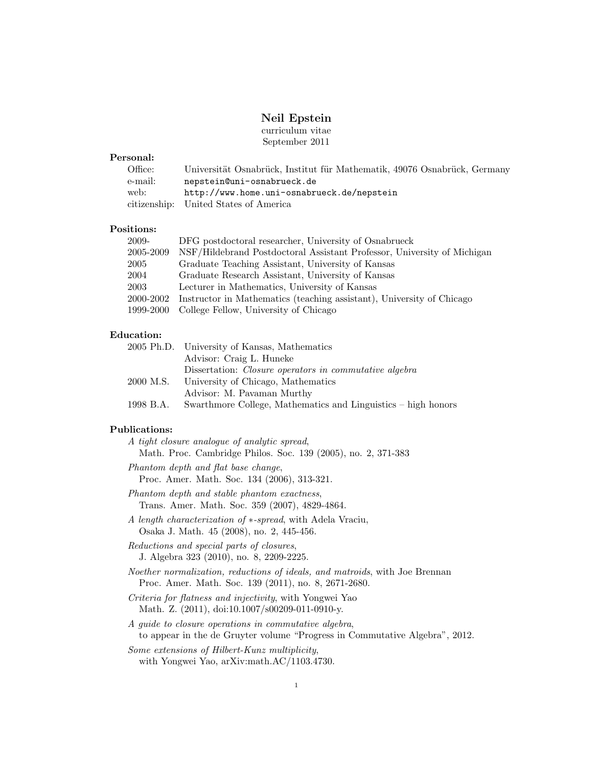# Neil Epstein

curriculum vitae September 2011

### Personal:

| Office: | Universität Osnabrück, Institut für Mathematik, 49076 Osnabrück, Germany |  |  |  |
|---------|--------------------------------------------------------------------------|--|--|--|
| e-mail: | nepstein@uni-osnabrueck.de                                               |  |  |  |
| web:    | http://www.home.uni-osnabrueck.de/nepstein                               |  |  |  |
|         | citizenship: United States of America                                    |  |  |  |

# Positions:

| 2009-     | DFG postdoctoral researcher, University of Osnabrueck                   |
|-----------|-------------------------------------------------------------------------|
| 2005-2009 | NSF/Hildebrand Postdoctoral Assistant Professor, University of Michigan |
| 2005      | Graduate Teaching Assistant, University of Kansas                       |
| 2004      | Graduate Research Assistant, University of Kansas                       |
| 2003      | Lecturer in Mathematics, University of Kansas                           |
| 2000-2002 | Instructor in Mathematics (teaching assistant), University of Chicago   |
| 1999-2000 | College Fellow, University of Chicago                                   |
|           |                                                                         |

# Education:

|           | 2005 Ph.D. University of Kansas, Mathematics                  |
|-----------|---------------------------------------------------------------|
|           | Advisor: Craig L. Huneke                                      |
|           | Dissertation: <i>Closure operators in commutative algebra</i> |
| 2000 M.S. | University of Chicago, Mathematics                            |
|           | Advisor: M. Pavaman Murthy                                    |
| 1998 B.A. | Swarthmore College, Mathematics and Linguistics – high honors |

### Publications:

|  | A tight closure analogue of analytic spread,                  |  |  |  |
|--|---------------------------------------------------------------|--|--|--|
|  | Math. Proc. Cambridge Philos. Soc. 139 (2005), no. 2, 371-383 |  |  |  |

Phantom depth and flat base change, Proc. Amer. Math. Soc. 134 (2006), 313-321.

- Phantom depth and stable phantom exactness, Trans. Amer. Math. Soc. 359 (2007), 4829-4864.
- A length characterization of ∗-spread, with Adela Vraciu, Osaka J. Math. 45 (2008), no. 2, 445-456.

Reductions and special parts of closures, J. Algebra 323 (2010), no. 8, 2209-2225.

Noether normalization, reductions of ideals, and matroids, with Joe Brennan Proc. Amer. Math. Soc. 139 (2011), no. 8, 2671-2680.

- Criteria for flatness and injectivity, with Yongwei Yao Math. Z. (2011), doi:10.1007/s00209-011-0910-y.
- A guide to closure operations in commutative algebra, to appear in the de Gruyter volume "Progress in Commutative Algebra", 2012.

Some extensions of Hilbert-Kunz multiplicity, with Yongwei Yao, arXiv:math.AC/1103.4730.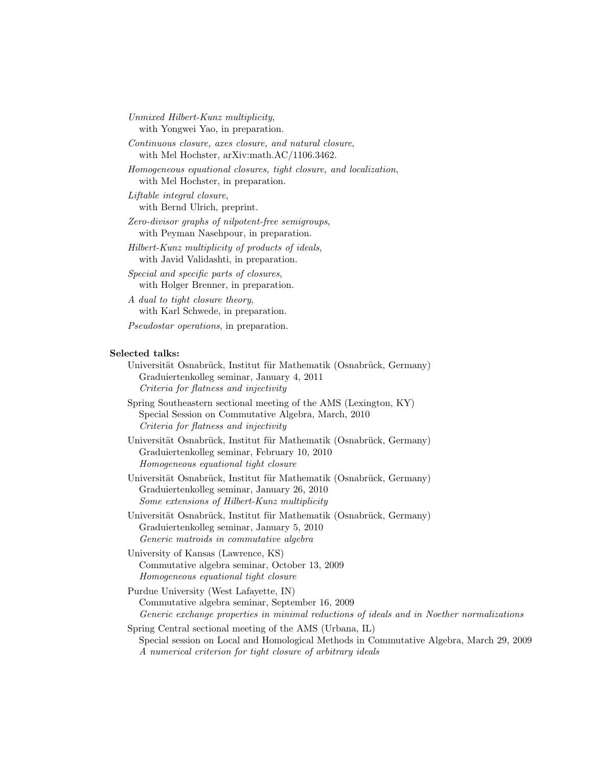Unmixed Hilbert-Kunz multiplicity, with Yongwei Yao, in preparation.

Continuous closure, axes closure, and natural closure, with Mel Hochster, arXiv:math.AC/1106.3462.

Homogeneous equational closures, tight closure, and localization, with Mel Hochster, in preparation.

Liftable integral closure, with Bernd Ulrich, preprint.

Zero-divisor graphs of nilpotent-free semigroups, with Peyman Nasehpour, in preparation.

Hilbert-Kunz multiplicity of products of ideals, with Javid Validashti, in preparation.

Special and specific parts of closures, with Holger Brenner, in preparation.

A dual to tight closure theory, with Karl Schwede, in preparation.

Pseudostar operations, in preparation.

#### Selected talks:

Universität Osnabrück, Institut für Mathematik (Osnabrück, Germany) Graduiertenkolleg seminar, January 4, 2011 Criteria for flatness and injectivity

Spring Southeastern sectional meeting of the AMS (Lexington, KY) Special Session on Commutative Algebra, March, 2010 Criteria for flatness and injectivity

Universität Osnabrück, Institut für Mathematik (Osnabrück, Germany) Graduiertenkolleg seminar, February 10, 2010 Homogeneous equational tight closure

Universität Osnabrück, Institut für Mathematik (Osnabrück, Germany) Graduiertenkolleg seminar, January 26, 2010 Some extensions of Hilbert-Kunz multiplicity

Universität Osnabrück, Institut für Mathematik (Osnabrück, Germany) Graduiertenkolleg seminar, January 5, 2010 Generic matroids in commutative algebra

University of Kansas (Lawrence, KS) Commutative algebra seminar, October 13, 2009 Homogeneous equational tight closure

Purdue University (West Lafayette, IN) Commutative algebra seminar, September 16, 2009 Generic exchange properties in minimal reductions of ideals and in Noether normalizations

Spring Central sectional meeting of the AMS (Urbana, IL) Special session on Local and Homological Methods in Commutative Algebra, March 29, 2009 A numerical criterion for tight closure of arbitrary ideals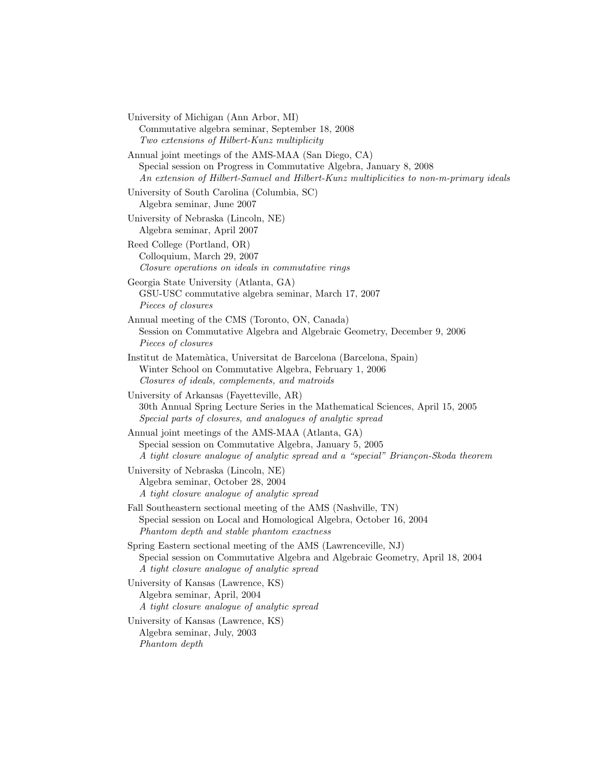University of Michigan (Ann Arbor, MI) Commutative algebra seminar, September 18, 2008 Two extensions of Hilbert-Kunz multiplicity Annual joint meetings of the AMS-MAA (San Diego, CA) Special session on Progress in Commutative Algebra, January 8, 2008 An extension of Hilbert-Samuel and Hilbert-Kunz multiplicities to non-m-primary ideals University of South Carolina (Columbia, SC) Algebra seminar, June 2007 University of Nebraska (Lincoln, NE) Algebra seminar, April 2007 Reed College (Portland, OR) Colloquium, March 29, 2007 Closure operations on ideals in commutative rings Georgia State University (Atlanta, GA) GSU-USC commutative algebra seminar, March 17, 2007 Pieces of closures Annual meeting of the CMS (Toronto, ON, Canada) Session on Commutative Algebra and Algebraic Geometry, December 9, 2006 Pieces of closures Institut de Matem`atica, Universitat de Barcelona (Barcelona, Spain) Winter School on Commutative Algebra, February 1, 2006 Closures of ideals, complements, and matroids University of Arkansas (Fayetteville, AR) 30th Annual Spring Lecture Series in the Mathematical Sciences, April 15, 2005 Special parts of closures, and analogues of analytic spread Annual joint meetings of the AMS-MAA (Atlanta, GA) Special session on Commutative Algebra, January 5, 2005 A tight closure analogue of analytic spread and a "special" Briançon-Skoda theorem University of Nebraska (Lincoln, NE) Algebra seminar, October 28, 2004 A tight closure analogue of analytic spread Fall Southeastern sectional meeting of the AMS (Nashville, TN) Special session on Local and Homological Algebra, October 16, 2004 Phantom depth and stable phantom exactness Spring Eastern sectional meeting of the AMS (Lawrenceville, NJ) Special session on Commutative Algebra and Algebraic Geometry, April 18, 2004 A tight closure analogue of analytic spread University of Kansas (Lawrence, KS) Algebra seminar, April, 2004 A tight closure analogue of analytic spread University of Kansas (Lawrence, KS) Algebra seminar, July, 2003 Phantom depth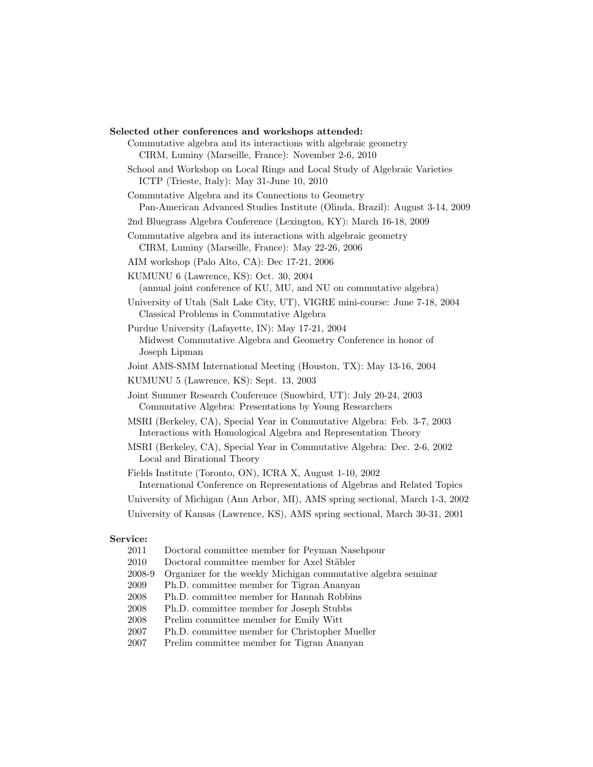# Selected other conferences and workshops attended: Commutative algebra and its interactions with algebraic geometry CIRM, Luminy (Marseille, France): November 2-6, 2010 School and Workshop on Local Rings and Local Study of Algebraic Varieties ICTP (Trieste, Italy): May 31-June 10, 2010 Commutative Algebra and its Connections to Geometry Pan-American Advanced Studies Institute (Olinda, Brazil): August 3-14, 2009 2nd Bluegrass Algebra Conference (Lexington, KY): March 16-18, 2009 Commutative algebra and its interactions with algebraic geometry CIRM, Luminy (Marseille, France): May 22-26, 2006 AIM workshop (Palo Alto, CA): Dec 17-21, 2006 KUMUNU 6 (Lawrence, KS): Oct. 30, 2004 (annual joint conference of KU, MU, and NU on commutative algebra) University of Utah (Salt Lake City, UT), VIGRE mini-course: June 7-18, 2004 Classical Problems in Commutative Algebra Purdue University (Lafayette, IN): May 17-21, 2004 Midwest Commutative Algebra and Geometry Conference in honor of Joseph Lipman Joint AMS-SMM International Meeting (Houston, TX): May 13-16, 2004 KUMUNU 5 (Lawrence, KS): Sept. 13, 2003 Joint Summer Research Conference (Snowbird, UT): July 20-24, 2003 Commutative Algebra: Presentations by Young Researchers MSRI (Berkeley, CA), Special Year in Commutative Algebra: Feb. 3-7, 2003 Interactions with Homological Algebra and Representation Theory MSRI (Berkeley, CA), Special Year in Commutative Algebra: Dec. 2-6, 2002 Local and Birational Theory Fields Institute (Toronto, ON), ICRA X, August 1-10, 2002 International Conference on Representations of Algebras and Related Topics University of Michigan (Ann Arbor, MI), AMS spring sectional, March 1-3, 2002 University of Kansas (Lawrence, KS), AMS spring sectional, March 30-31, 2001

### Service:

| 2011 | Doctoral committee member for Peyman Nasehbour |  |  |  |
|------|------------------------------------------------|--|--|--|
|      |                                                |  |  |  |

- 2010 Doctoral committee member for Axel Stäbler
- 2008-9 Organizer for the weekly Michigan commutative algebra seminar
- 2009 Ph.D. committee member for Tigran Ananyan
- 2008 Ph.D. committee member for Hannah Robbins
- 2008 Ph.D. committee member for Joseph Stubbs
- 2008 Prelim committee member for Emily Witt
- 2007 Ph.D. committee member for Christopher Mueller
- 2007 Prelim committee member for Tigran Ananyan